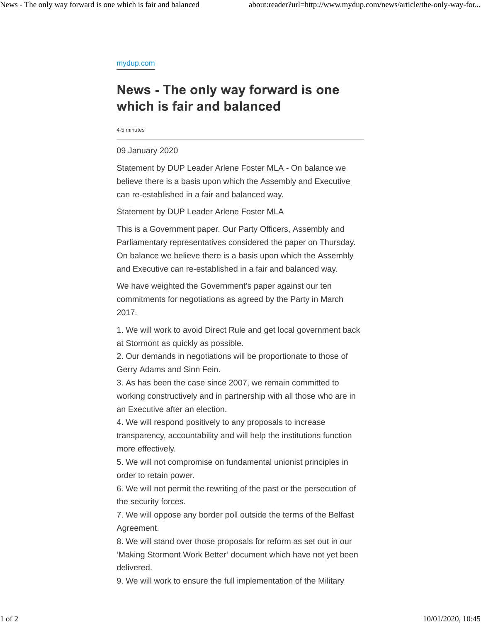## mydup.com

## News - The only way forward is one which is fair and balanced

4-5 minutes

## 09 January 2020

Statement by DUP Leader Arlene Foster MLA - On balance we believe there is a basis upon which the Assembly and Executive can re-established in a fair and balanced way.

Statement by DUP Leader Arlene Foster MLA

This is a Government paper. Our Party Officers, Assembly and Parliamentary representatives considered the paper on Thursday. On balance we believe there is a basis upon which the Assembly and Executive can re-established in a fair and balanced way.

We have weighted the Government's paper against our ten commitments for negotiations as agreed by the Party in March 2017.

1. We will work to avoid Direct Rule and get local government back at Stormont as quickly as possible.

2. Our demands in negotiations will be proportionate to those of Gerry Adams and Sinn Fein.

3. As has been the case since 2007, we remain committed to working constructively and in partnership with all those who are in an Executive after an election.

4. We will respond positively to any proposals to increase transparency, accountability and will help the institutions function more effectively.

5. We will not compromise on fundamental unionist principles in order to retain power.

6. We will not permit the rewriting of the past or the persecution of the security forces.

7. We will oppose any border poll outside the terms of the Belfast Agreement.

8. We will stand over those proposals for reform as set out in our 'Making Stormont Work Better' document which have not yet been delivered.

9. We will work to ensure the full implementation of the Military